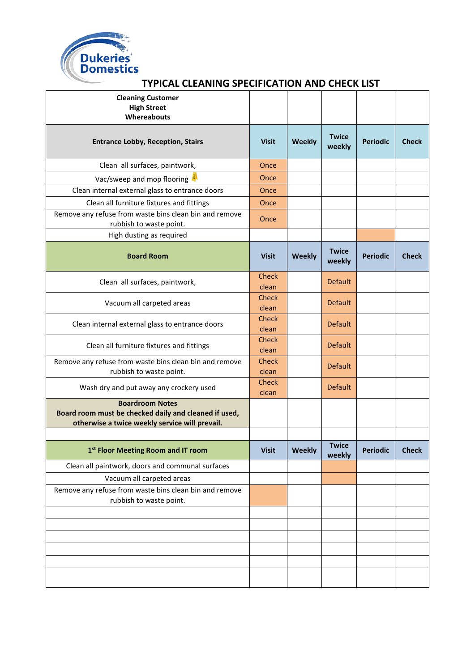

### **TYPICAL CLEANING SPECIFICATION AND CHECK LIST**

| <b>Cleaning Customer</b><br><b>High Street</b><br>Whereabouts                                                                     |                       |               |                        |                 |              |
|-----------------------------------------------------------------------------------------------------------------------------------|-----------------------|---------------|------------------------|-----------------|--------------|
| <b>Entrance Lobby, Reception, Stairs</b>                                                                                          | <b>Visit</b>          | <b>Weekly</b> | <b>Twice</b><br>weekly | <b>Periodic</b> | <b>Check</b> |
| Clean all surfaces, paintwork,                                                                                                    | Once                  |               |                        |                 |              |
| Vac/sweep and mop flooring                                                                                                        | Once                  |               |                        |                 |              |
| Clean internal external glass to entrance doors                                                                                   | Once                  |               |                        |                 |              |
| Clean all furniture fixtures and fittings                                                                                         | Once                  |               |                        |                 |              |
| Remove any refuse from waste bins clean bin and remove<br>rubbish to waste point.                                                 | Once                  |               |                        |                 |              |
| High dusting as required                                                                                                          |                       |               |                        |                 |              |
| <b>Board Room</b>                                                                                                                 | <b>Visit</b>          | <b>Weekly</b> | <b>Twice</b><br>weekly | <b>Periodic</b> | <b>Check</b> |
| Clean all surfaces, paintwork,                                                                                                    | <b>Check</b><br>clean |               | <b>Default</b>         |                 |              |
| Vacuum all carpeted areas                                                                                                         | <b>Check</b><br>clean |               | <b>Default</b>         |                 |              |
| Clean internal external glass to entrance doors                                                                                   | Check<br>clean        |               | <b>Default</b>         |                 |              |
| Clean all furniture fixtures and fittings                                                                                         | <b>Check</b><br>clean |               | <b>Default</b>         |                 |              |
| Remove any refuse from waste bins clean bin and remove<br>rubbish to waste point.                                                 | <b>Check</b><br>clean |               | <b>Default</b>         |                 |              |
| Wash dry and put away any crockery used                                                                                           | <b>Check</b><br>clean |               | <b>Default</b>         |                 |              |
| <b>Boardroom Notes</b><br>Board room must be checked daily and cleaned if used,<br>otherwise a twice weekly service will prevail. |                       |               |                        |                 |              |
| 1st Floor Meeting Room and IT room                                                                                                | <b>Visit</b>          | <b>Weekly</b> | <b>Twice</b><br>weekly | <b>Periodic</b> | <b>Check</b> |
| Clean all paintwork, doors and communal surfaces                                                                                  |                       |               |                        |                 |              |
| Vacuum all carpeted areas                                                                                                         |                       |               |                        |                 |              |
| Remove any refuse from waste bins clean bin and remove<br>rubbish to waste point.                                                 |                       |               |                        |                 |              |
|                                                                                                                                   |                       |               |                        |                 |              |
|                                                                                                                                   |                       |               |                        |                 |              |
|                                                                                                                                   |                       |               |                        |                 |              |
|                                                                                                                                   |                       |               |                        |                 |              |
|                                                                                                                                   |                       |               |                        |                 |              |
|                                                                                                                                   |                       |               |                        |                 |              |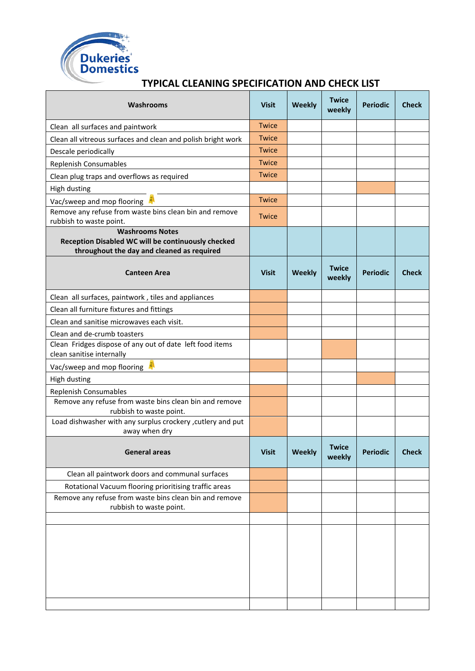

## **Washrooms Visit Weekly Twice weekly Periodic Check** Clean all surfaces and paintwork Twice Clean all vitreous surfaces and clean and polish bright work **Twice** Descale periodically and the contract of the contract of the contract of the contract of the contract of the contract of the contract of the contract of the contract of the contract of the contract of the contract of the c Replenish Consumables **Twice** Clean plug traps and overflows as required Twice High dusting Vac/sweep and mop flooring **A** and the state of the Twice Remove any refuse from waste bins clean bin and remove Refliove any refuse from waste bins clean bin and remove Twice **Washrooms Notes Reception Disabled WC will be continuously checked throughout the day and cleaned as required Canteen Area Canteen Area Canteen Area Canteen Area Visit | Weekly | Twice <b>Weekly weekly Periodic Check** Clean all surfaces, paintwork , tiles and appliances Clean all furniture fixtures and fittings Clean and sanitise microwaves each visit. Clean and de-crumb toasters Clean Fridges dispose of any out of date left food items clean sanitise internally Vac/sweep and mop flooring High dusting Replenish Consumables Remove any refuse from waste bins clean bin and remove rubbish to waste point. Load dishwasher with any surplus crockery ,cutlery and put away when dry **General areas Visit Weekly Twice weekly Periodic Check** Clean all paintwork doors and communal surfaces Rotational Vacuum flooring prioritising traffic areas Remove any refuse from waste bins clean bin and remove rubbish to waste point.

#### **TYPICAL CLEANING SPECIFICATION AND CHECK LIST**